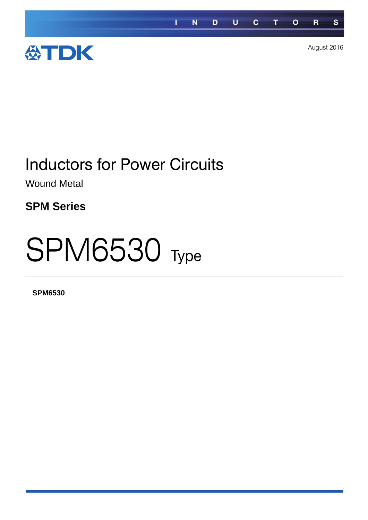

# Inductors for Power Circuits

Wound Metal

**SPM Series**

# **SPM6530** Type

**SPM6530**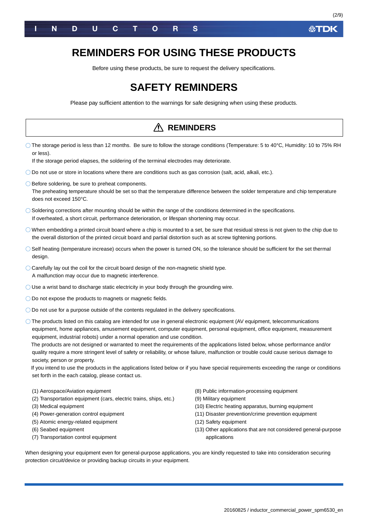

### **REMINDERS FOR USING THESE PRODUCTS**

Before using these products, be sure to request the delivery specifications.

### **SAFETY REMINDERS**

Please pay sufficient attention to the warnings for safe designing when using these products.

#### The storage period is less than 12 months. Be sure to follow the storage conditions (Temperature: 5 to 40°C, Humidity: 10 to 75% RH or less). If the storage period elapses, the soldering of the terminal electrodes may deteriorate. Do not use or store in locations where there are conditions such as gas corrosion (salt, acid, alkali, etc.).  $\bigcirc$  Before soldering, be sure to preheat components. The preheating temperature should be set so that the temperature difference between the solder temperature and chip temperature does not exceed 150°C.  $\bigcirc$  Soldering corrections after mounting should be within the range of the conditions determined in the specifications. If overheated, a short circuit, performance deterioration, or lifespan shortening may occur.  $\bigcirc$  When embedding a printed circuit board where a chip is mounted to a set, be sure that residual stress is not given to the chip due to the overall distortion of the printed circuit board and partial distortion such as at screw tightening portions. Self heating (temperature increase) occurs when the power is turned ON, so the tolerance should be sufficient for the set thermal design.  $\bigcirc$  Carefully lay out the coil for the circuit board design of the non-magnetic shield type. A malfunction may occur due to magnetic interference. Use a wrist band to discharge static electricity in your body through the grounding wire. O Do not expose the products to magnets or magnetic fields.  $\bigcirc$  Do not use for a purpose outside of the contents regulated in the delivery specifications. The products listed on this catalog are intended for use in general electronic equipment (AV equipment, telecommunications equipment, home appliances, amusement equipment, computer equipment, personal equipment, office equipment, measurement equipment, industrial robots) under a normal operation and use condition. The products are not designed or warranted to meet the requirements of the applications listed below, whose performance and/or quality require a more stringent level of safety or reliability, or whose failure, malfunction or trouble could cause serious damage to society, person or property. If you intend to use the products in the applications listed below or if you have special requirements exceeding the range or conditions set forth in the each catalog, please contact us. (1) Aerospace/Aviation equipment (2) Transportation equipment (cars, electric trains, ships, etc.) (3) Medical equipment (4) Power-generation control equipment (5) Atomic energy-related equipment (6) Seabed equipment (7) Transportation control equipment (8) Public information-processing equipment (9) Military equipment (10) Electric heating apparatus, burning equipment (11) Disaster prevention/crime prevention equipment (12) Safety equipment (13) Other applications that are not considered general-purpose applications When designing your equipment even for general-purpose applications, you are kindly requested to take into consideration securing protection circuit/device or providing backup circuits in your equipment. **REMINDERS**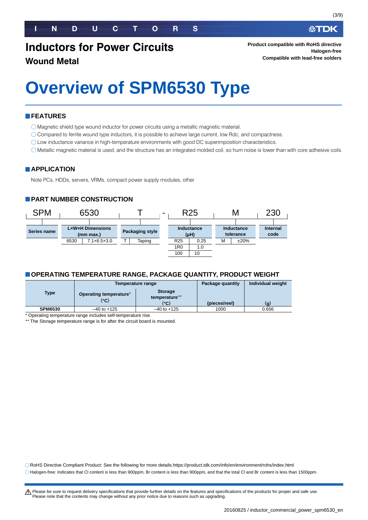## **Inductors for Power Circuits**

#### **Wound Metal**

# **Overview of SPM6530 Type**

#### **FEATURES**

Magnetic shield type wound inductor for power circuits using a metallic magnetic material.

- Compared to ferrite wound type inductors, it is possible to achieve large current, low Rdc, and compactness.
- Low inductance variance in high-temperature environments with good DC superimposition characteristics.
- Metallic magnetic material is used, and the structure has an integrated molded coil, so hum noise is lower than with core adhesive coils.

#### **APPLICATION**

Note PCs, HDDs, servers, VRMs, compact power supply modules, other

#### **PART NUMBER CONSTRUCTION**



#### **OPERATING TEMPERATURE RANGE, PACKAGE QUANTITY, PRODUCT WEIGHT**

|                |                                | Temperature range                       | Package quantity | Individual weight |
|----------------|--------------------------------|-----------------------------------------|------------------|-------------------|
| <b>Type</b>    | Operating temperature*<br>(°C) | <b>Storage</b><br>temperature**<br>(°C) | (pieces/reel)    | (g)               |
| <b>SPM6530</b> | $-40$ to $+125$                | $-40$ to $+125$                         | 1000             | 0.656             |

Operating temperature range includes self-temperature rise.

\*\* The Storage temperature range is for after the circuit board is mounted.

RoHS Directive Compliant Product: See the following for more details.https://product.tdk.com/info/en/environment/rohs/index.html

Halogen-free: Indicates that Cl content is less than 900ppm, Br content is less than 900ppm, and that the total Cl and Br content is less than 1500ppm.

∰TDK

t Please be sure to request delivery specifications that provide further details on the features and specifications of the products for proper and safe use. Please note that the contents may change without any prior notice due to reasons such as upgrading.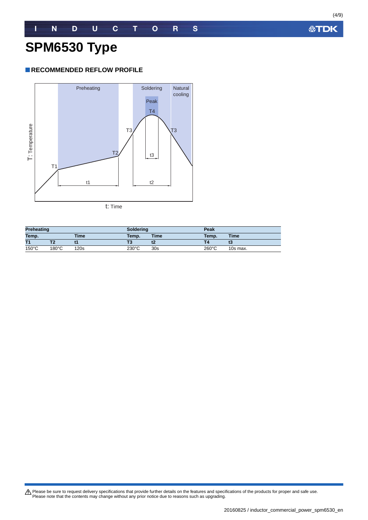#### **RECOMMENDED REFLOW PROFILE**



| <b>Preheating</b>    |                 | <b>Soldering</b> |                 | Peak            |                 |          |
|----------------------|-----------------|------------------|-----------------|-----------------|-----------------|----------|
| Temp.<br><b>Time</b> |                 | Temp.            | <b>Time</b>     | Temp.           | <b>Time</b>     |          |
| T1                   |                 |                  |                 |                 |                 | 13       |
| $150^{\circ}$ C      | $180^{\circ}$ C | 120s             | $230^{\circ}$ C | 30 <sub>s</sub> | $260^{\circ}$ C | 10s max. |

Please be sure to request delivery specifications that provide further details on the features and specifications of the products for proper and safe use.<br>Please note that the contents may change without any prior notice d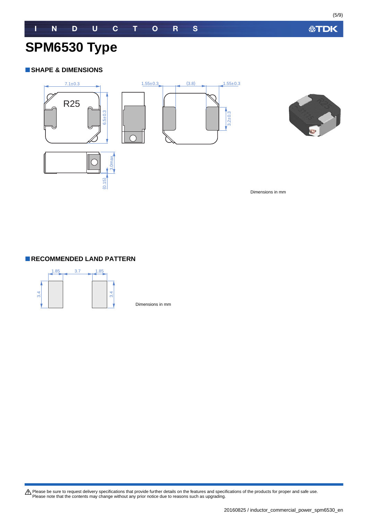**公TDK** 

# **SPM6530 Type**

#### **SHAPE & DIMENSIONS**





Dimensions in mm



Dimensions in mm

Please be sure to request delivery specifications that provide further details on the features and specifications of the products for proper and safe use.<br>Please note that the contents may change without any prior notice d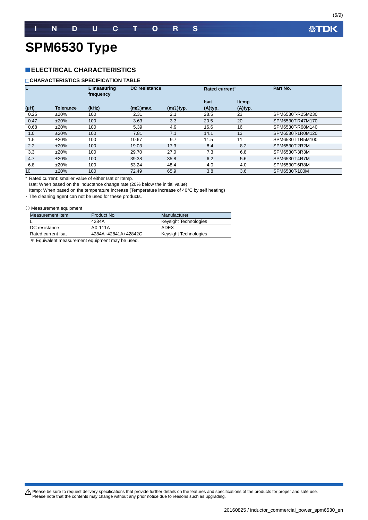# **SPM6530 Type**

#### **ELECTRICAL CHARACTERISTICS**

#### **CHARACTERISTICS SPECIFICATION TABLE**

|      |                  | L measuring<br>frequency |                  | DC resistance    |             | Rated current* | Part No.         |
|------|------------------|--------------------------|------------------|------------------|-------------|----------------|------------------|
|      |                  |                          |                  |                  | <b>Isat</b> | <b>Itemp</b>   |                  |
| (µH) | <b>Tolerance</b> | (kHz)                    | $(m\Omega)$ max. | $(m\Omega)$ typ. | (A)typ.     | (A)typ.        |                  |
| 0.25 | ±20%             | 100                      | 2.31             | 2.1              | 28.5        | 23             | SPM6530T-R25M230 |
| 0.47 | ±20%             | 100                      | 3.63             | 3.3              | 20.5        | 20             | SPM6530T-R47M170 |
| 0.68 | ±20%             | 100                      | 5.39             | 4.9              | 16.6        | 16             | SPM6530T-R68M140 |
| 1.0  | ±20%             | 100                      | 7.81             | 7.1              | 14.1        | 13             | SPM6530T-1R0M120 |
| 1.5  | $±20\%$          | 100                      | 10.67            | 9.7              | 11.5        | 11             | SPM6530T-1R5M100 |
| 2.2  | ±20%             | 100                      | 19.03            | 17.3             | 8.4         | 8.2            | SPM6530T-2R2M    |
| 3.3  | ±20%             | 100                      | 29.70            | 27.0             | 7.3         | 6.8            | SPM6530T-3R3M    |
| 4.7  | ±20%             | 100                      | 39.38            | 35.8             | 6.2         | 5.6            | SPM6530T-4R7M    |
| 6.8  | ±20%             | 100                      | 53.24            | 48.4             | 4.0         | 4.0            | SPM6530T-6R8M    |
| 10   | ±20%             | 100                      | 72.49            | 65.9             | 3.8         | 3.6            | SPM6530T-100M    |

Rated current: smaller value of either Isat or Itemp.

Isat: When based on the inductance change rate (20% below the initial value)

Itemp: When based on the temperature increase (Temperature increase of 40°C by self heating)

・The cleaning agent can not be used for these products.

#### ○ Measurement equipment

| Measurement item   | Product No.         | Manufacturer          |
|--------------------|---------------------|-----------------------|
|                    | 4284A               | Keysight Technologies |
| DC resistance      | AX-111A             | ADFX                  |
| Rated current Isat | 4284A+42841A+42842C | Keysight Technologies |

\* Equivalent measurement equipment may be used.

Please be sure to request delivery specifications that provide further details on the features and specifications of the products for proper and safe use.<br>Please note that the contents may change without any prior notice d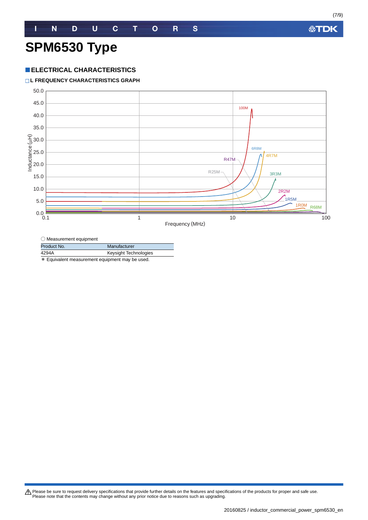# **SPM6530 Type**

#### **ELECTRICAL CHARACTERISTICS**

#### **L FREQUENCY CHARACTERISTICS GRAPH**



| $\bigcirc$ Measurement equipment |                       |
|----------------------------------|-----------------------|
| Product No.                      | Manufacturer          |
| 4294A                            | Keysight Technologies |
|                                  |                       |

\* Equivalent measurement equipment may be used.

Please be sure to request delivery specifications that provide further details on the features and specifications of the products for proper and safe use.<br>Please note that the contents may change without any prior notice d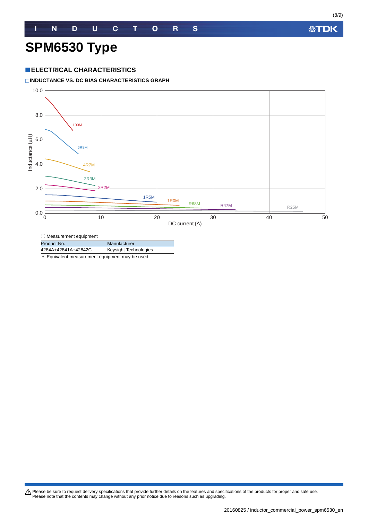# **SPM6530 Type**

#### **ELECTRICAL CHARACTERISTICS**

**INDUCTANCE VS. DC BIAS CHARACTERISTICS GRAPH**



○ Measurement equipment

Product No. Manufacturer 4284A+42841A+42842C Keysight Technologies

\* Equivalent measurement equipment may be used.

Please be sure to request delivery specifications that provide further details on the features and specifications of the products for proper and safe use.<br>Please note that the contents may change without any prior notice d